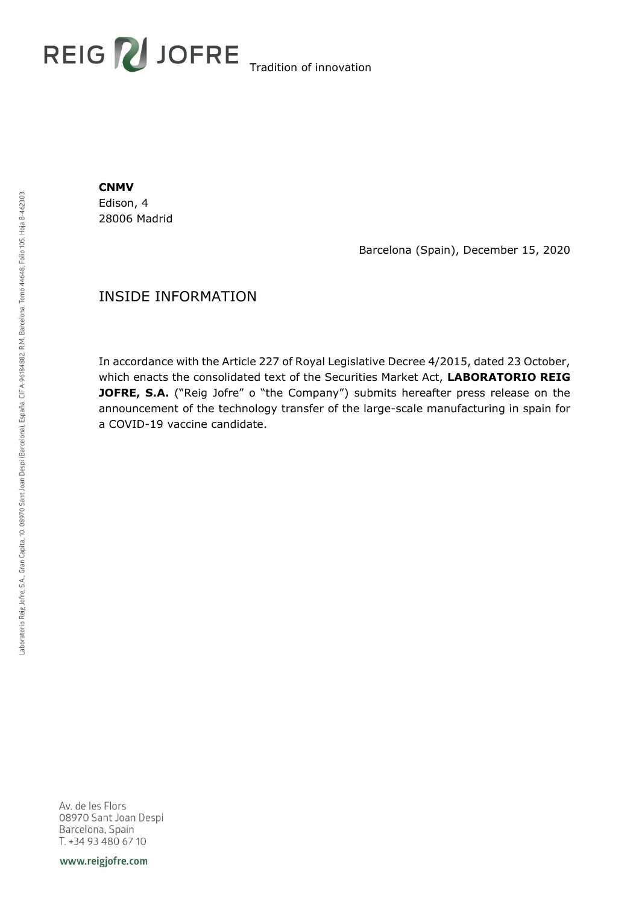

**CNMV** Edison, 4 28006 Madrid

Barcelona (Spain), December 15, 2020

## INSIDE INFORMATION

In accordance with the Article 227 of Royal Legislative Decree 4/2015, dated 23 October, which enacts the consolidated text of the Securities Market Act, **LABORATORIO REIG JOFRE, S.A.** ("Reig Jofre" o "the Company") submits hereafter press release on the announcement of the technology transfer of the large-scale manufacturing in spain for a COVID-19 vaccine candidate.

Av. de les Flors 08970 Sant Joan Despi Barcelona, Spain T. +34 93 480 67 10

www.reigjofre.com